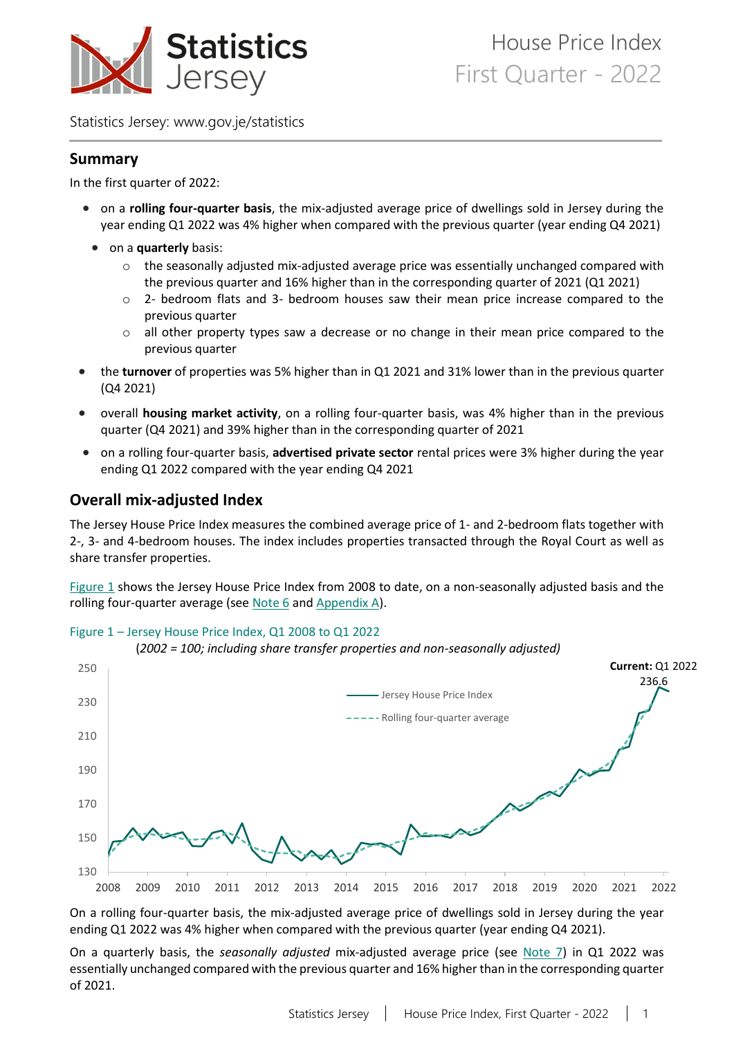

Statistics Jersey: [www.gov.je/statistics](https://www.gov.je/statistics)

### **Summary**

In the first quarter of 2022:

- on a **rolling four-quarter basis**, the mix-adjusted average price of dwellings sold in Jersey during the year ending Q1 2022 was 4% higher when compared with the previous quarter (year ending Q4 2021)
- on a **quarterly** basis:
	- $\circ$  the seasonally adjusted mix-adjusted average price was essentially unchanged compared with the previous quarter and 16% higher than in the corresponding quarter of 2021 (Q1 2021)
	- $\circ$  2- bedroom flats and 3- bedroom houses saw their mean price increase compared to the previous quarter
	- $\circ$  all other property types saw a decrease or no change in their mean price compared to the previous quarter
- the **turnover** of properties was 5% higher than in Q1 2021 and 31% lower than in the previous quarter (Q4 2021)
- overall **housing market activity**, on a rolling four-quarter basis, was 4% higher than in the previous quarter (Q4 2021) and 39% higher than in the corresponding quarter of 2021
- on a rolling four-quarter basis, **advertised private sector** rental prices were 3% higher during the year ending Q1 2022 compared with the year ending Q4 2021

# <span id="page-0-1"></span>**Overall mix-adjusted Index**

<span id="page-0-0"></span>Figure 1 – Jersey House Price Index, Q1 2008 to Q1 2022

The Jersey House Price Index measures the combined average price of 1- and 2-bedroom flats together with 2-, 3- and 4-bedroom houses. The index includes properties transacted through the Royal Court as well as share transfer properties.

[Figure 1](#page-0-0) shows the Jersey House Price Index from 2008 to date, on a non-seasonally adjusted basis and the rolling four-quarter average (se[e Note 6](#page-11-0) an[d Appendix A\)](#page-12-0).



(*2002 = 100; including share transfer properties and non-seasonally adjusted)*

On a rolling four-quarter basis, the mix-adjusted average price of dwellings sold in Jersey during the year ending Q1 2022 was 4% higher when compared with the previous quarter (year ending Q4 2021).

On a quarterly basis, the *seasonally adjusted* mix-adjusted average price (see [Note 7\)](#page-11-1) in Q1 2022 was essentially unchanged compared with the previous quarter and 16% higher than in the corresponding quarter of 2021.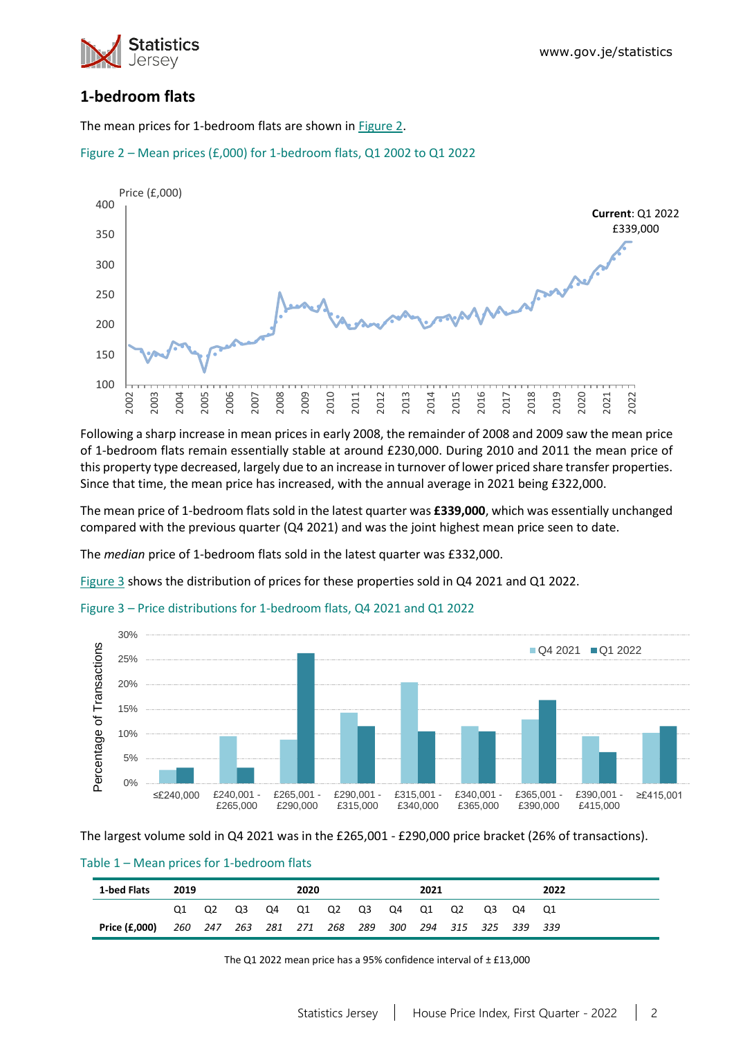

# **1-bedroom flats**

The mean prices for 1-bedroom flats are shown in [Figure 2.](#page-1-0)

<span id="page-1-0"></span>



Following a sharp increase in mean prices in early 2008, the remainder of 2008 and 2009 saw the mean price of 1-bedroom flats remain essentially stable at around £230,000. During 2010 and 2011 the mean price of this property type decreased, largely due to an increase in turnover of lower priced share transfer properties. Since that time, the mean price has increased, with the annual average in 2021 being £322,000.

The mean price of 1-bedroom flats sold in the latest quarter was **£339,000**, which was essentially unchanged compared with the previous quarter (Q4 2021) and was the joint highest mean price seen to date.

The *median* price of 1-bedroom flats sold in the latest quarter was £332,000.

[Figure 3](#page-1-1) shows the distribution of prices for these properties sold in Q4 2021 and Q1 2022.

<span id="page-1-1"></span>Figure 3 – Price distributions for 1-bedroom flats, Q4 2021 and Q1 2022



The largest volume sold in Q4 2021 was in the £265,001 - £290,000 price bracket (26% of transactions).

Table 1 – Mean prices for 1-bedroom flats

| 1-bed Flats   | 2019                                                |    |    |    | 2020 |    |    |    | 2021 |    |    |    |
|---------------|-----------------------------------------------------|----|----|----|------|----|----|----|------|----|----|----|
|               | Q2                                                  | O3 | Q4 | Q1 | Q2   | Q3 | Q4 | Q1 | Q2   | O3 | O4 | O1 |
| Price (£,000) | 260 247 263 281 271 268 289 300 294 315 325 339 339 |    |    |    |      |    |    |    |      |    |    |    |

The Q1 2022 mean price has a 95% confidence interval of ± £13,000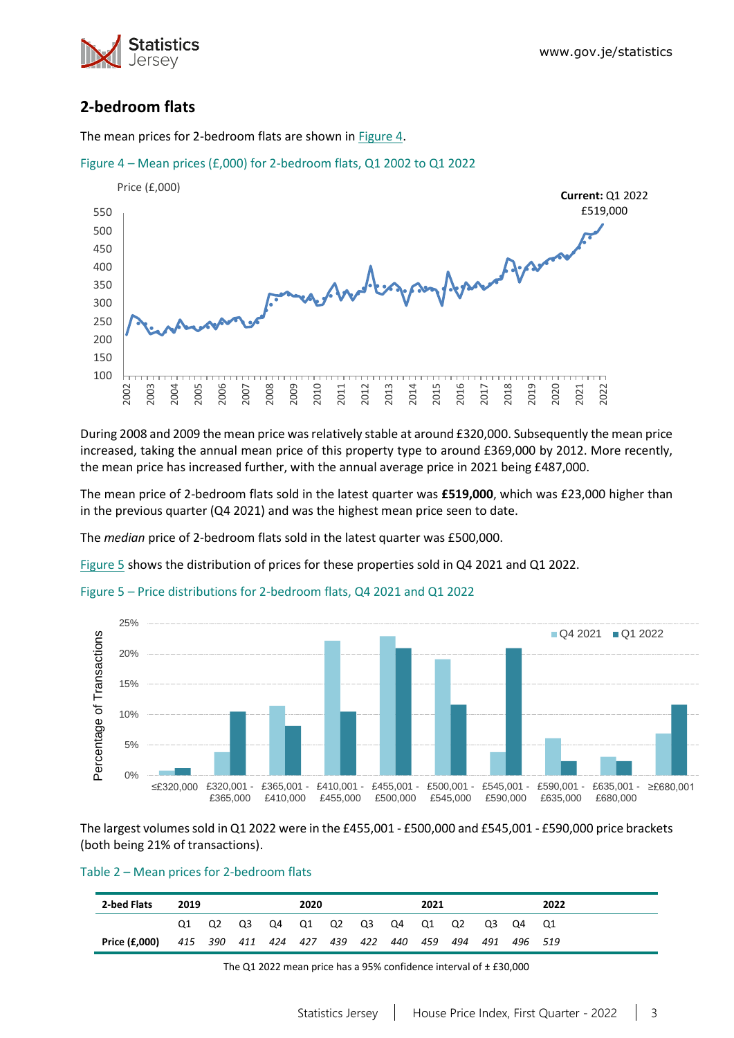



# **2-bedroom flats**

The mean prices for 2-bedroom flats are shown in [Figure 4.](#page-2-0)

<span id="page-2-0"></span>

During 2008 and 2009 the mean price was relatively stable at around £320,000. Subsequently the mean price increased, taking the annual mean price of this property type to around £369,000 by 2012. More recently, the mean price has increased further, with the annual average price in 2021 being £487,000.

The mean price of 2-bedroom flats sold in the latest quarter was **£519,000**, which was £23,000 higher than in the previous quarter (Q4 2021) and was the highest mean price seen to date.

The *median* price of 2-bedroom flats sold in the latest quarter was £500,000.

[Figure 5](#page-2-1) shows the distribution of prices for these properties sold in Q4 2021 and Q1 2022.



<span id="page-2-1"></span>

The largest volumes sold in Q1 2022 were in the £455,001 - £500,000 and £545,001 - £590,000 price brackets (both being 21% of transactions).

#### Table 2 – Mean prices for 2-bedroom flats

| 2-bed Flats   | 2019 |    |                                                     | 2020 |  |  | 2021 |  |          | 2022 |
|---------------|------|----|-----------------------------------------------------|------|--|--|------|--|----------|------|
|               |      | Q3 | Q4 Q1 Q2 Q3 Q4 Q1 Q2                                |      |  |  |      |  | Q3 Q4 Q1 |      |
| Price (£,000) |      |    | 415 390 411 424 427 439 422 440 459 494 491 496 519 |      |  |  |      |  |          |      |

The Q1 2022 mean price has a 95% confidence interval of  $\pm$  £30,000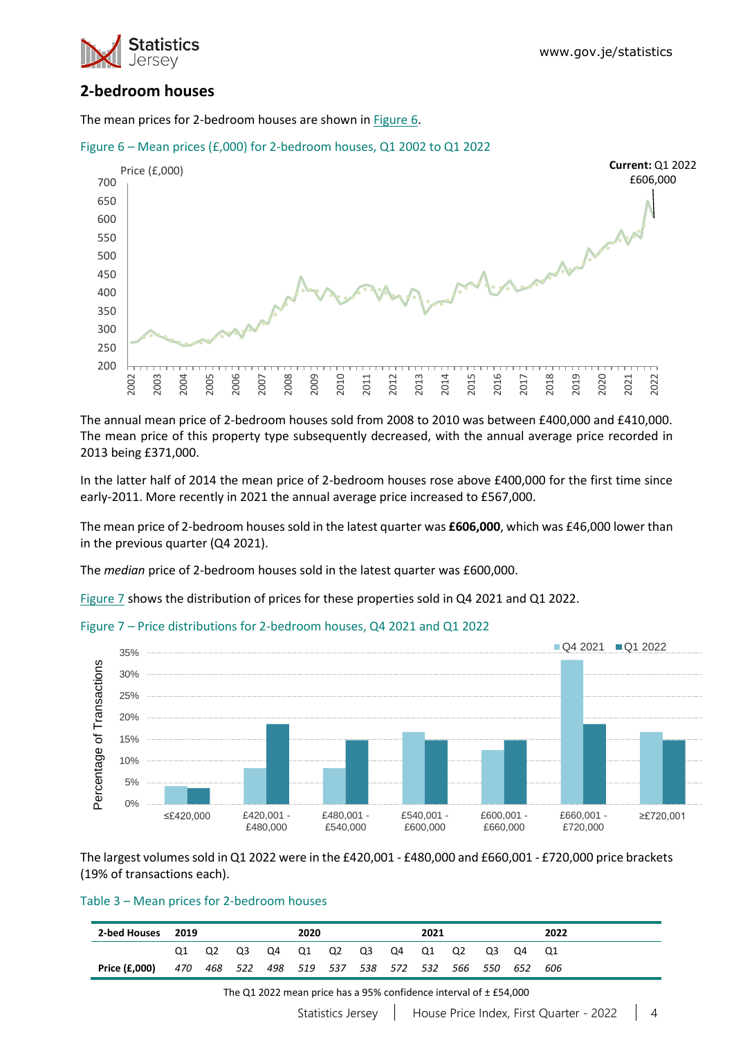

### **2-bedroom houses**

The mean prices for 2-bedroom houses are shown in [Figure 6.](#page-3-0)



#### <span id="page-3-0"></span>Figure 6 – Mean prices (£,000) for 2-bedroom houses, Q1 2002 to Q1 2022

The annual mean price of 2-bedroom houses sold from 2008 to 2010 was between £400,000 and £410,000. The mean price of this property type subsequently decreased, with the annual average price recorded in 2013 being £371,000.

In the latter half of 2014 the mean price of 2-bedroom houses rose above £400,000 for the first time since early-2011. More recently in 2021 the annual average price increased to £567,000.

The mean price of 2-bedroom houses sold in the latest quarter was **£606,000**, which was £46,000 lower than in the previous quarter (Q4 2021).

The *median* price of 2-bedroom houses sold in the latest quarter was £600,000.

[Figure 7](#page-3-1) shows the distribution of prices for these properties sold in Q4 2021 and Q1 2022.

<span id="page-3-1"></span>



The largest volumes sold in Q1 2022 were in the £420,001 - £480,000 and £660,001 - £720,000 price brackets (19% of transactions each).

### Table 3 – Mean prices for 2-bedroom houses

| 2-bed Houses 2019 |      |    |    |    | 2020  |  |    |    | 2021                                            |    |    |    | 2022 |
|-------------------|------|----|----|----|-------|--|----|----|-------------------------------------------------|----|----|----|------|
|                   | O1 = | Q2 | Q3 | Q4 | Q1 Q2 |  | Q3 | Q4 | Q1                                              | O2 | O3 | Q4 | - 01 |
| Price (£,000)     | 470  |    |    |    |       |  |    |    | 468 522 498 519 537 538 572 532 566 550 652 606 |    |    |    |      |

The Q1 2022 mean price has a 95% confidence interval of ± £54,000

Statistics Jersey | House Price Index, First Quarter - 2022 | 4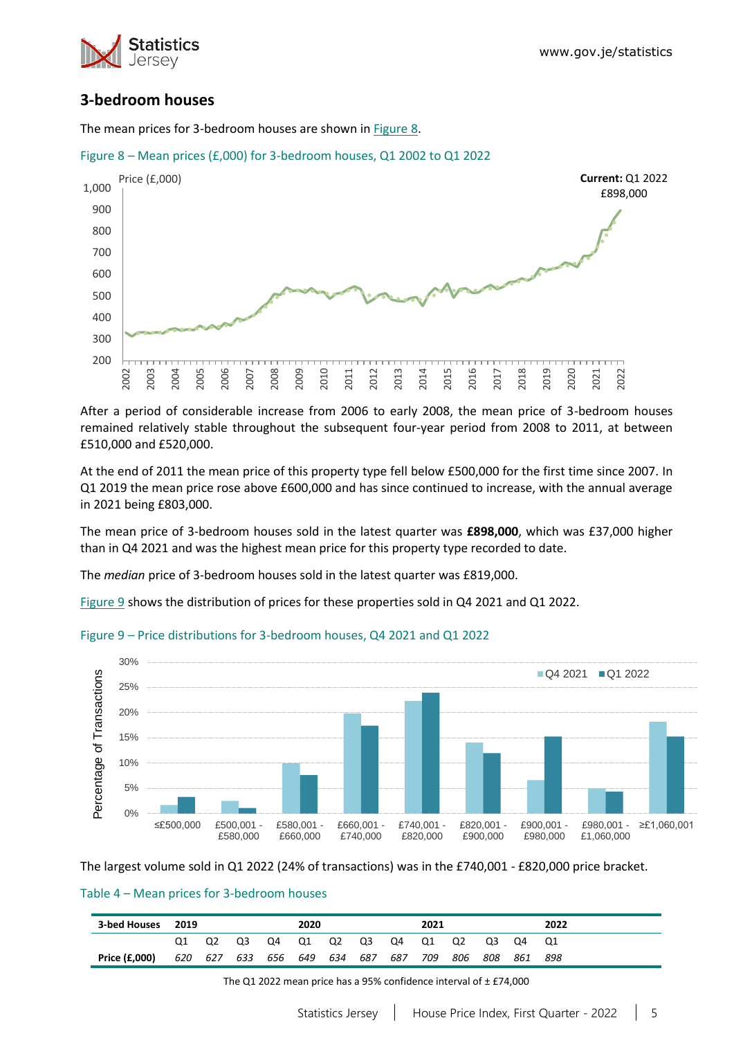

### **3-bedroom houses**

The mean prices for 3-bedroom houses are shown in [Figure 8.](#page-4-0)



<span id="page-4-0"></span>Figure 8 – Mean prices (£,000) for 3-bedroom houses, Q1 2002 to Q1 2022

After a period of considerable increase from 2006 to early 2008, the mean price of 3-bedroom houses remained relatively stable throughout the subsequent four-year period from 2008 to 2011, at between £510,000 and £520,000.

At the end of 2011 the mean price of this property type fell below £500,000 for the first time since 2007. In Q1 2019 the mean price rose above £600,000 and has since continued to increase, with the annual average in 2021 being £803,000.

The mean price of 3-bedroom houses sold in the latest quarter was **£898,000**, which was £37,000 higher than in Q4 2021 and was the highest mean price for this property type recorded to date.

The *median* price of 3-bedroom houses sold in the latest quarter was £819,000.

[Figure 9](#page-4-1) shows the distribution of prices for these properties sold in Q4 2021 and Q1 2022.



#### <span id="page-4-1"></span>Figure 9 – Price distributions for 3-bedroom houses, Q4 2021 and Q1 2022

The largest volume sold in Q1 2022 (24% of transactions) was in the £740,001 - £820,000 price bracket.

#### Table 4 – Mean prices for 3-bedroom houses

| 3-bed Houses 2019 |     |     |     |             | 2020 |    |     |     | 2021 |     |       |         | 2022 |
|-------------------|-----|-----|-----|-------------|------|----|-----|-----|------|-----|-------|---------|------|
|                   |     | Q2  | Q3  | Q4          | Q1   | Q2 | Q3  | Q4  | Q1   | Q2  | Q3    | . Q4    |      |
| Price (£,000)     | 620 | 627 | 633 | 656 649 634 |      |    | 687 | 687 | 709  | 806 | - 808 | 861 898 |      |

The Q1 2022 mean price has a 95% confidence interval of ± £74,000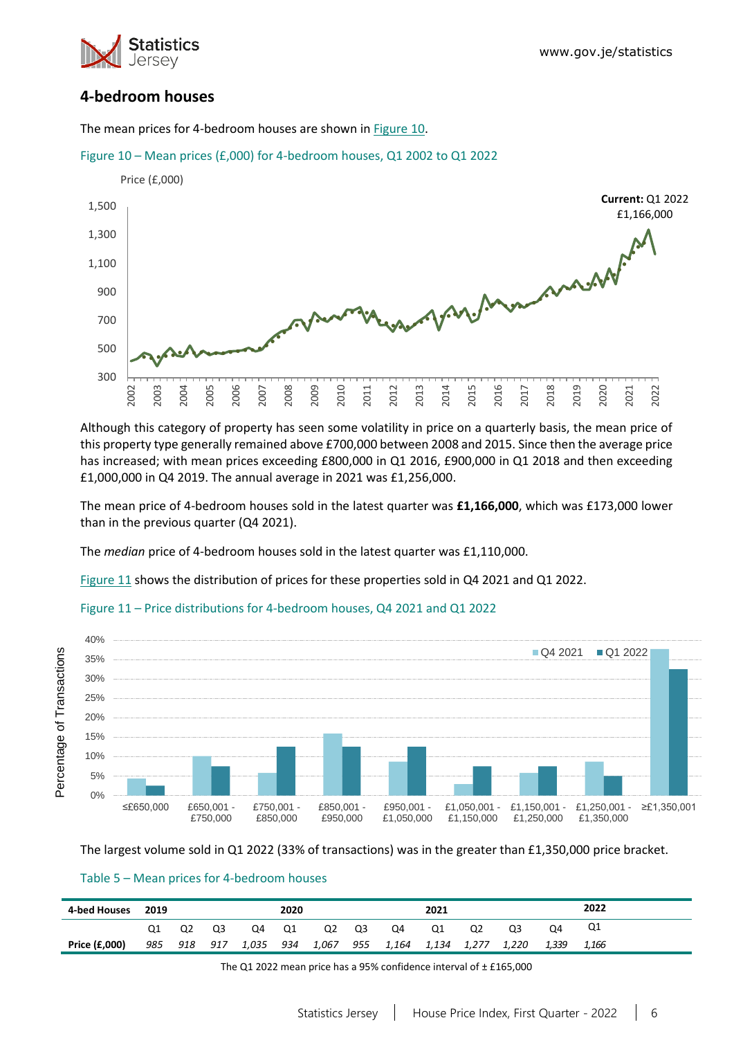

# **4-bedroom houses**

The mean prices for 4-bedroom houses are shown in [Figure 10.](#page-5-0)

<span id="page-5-0"></span>



Although this category of property has seen some volatility in price on a quarterly basis, the mean price of this property type generally remained above £700,000 between 2008 and 2015. Since then the average price has increased; with mean prices exceeding £800,000 in Q1 2016, £900,000 in Q1 2018 and then exceeding £1,000,000 in Q4 2019. The annual average in 2021 was £1,256,000.

The mean price of 4-bedroom houses sold in the latest quarter was **£1,166,000**, which was £173,000 lower than in the previous quarter (Q4 2021).

The *median* price of 4-bedroom houses sold in the latest quarter was £1,110,000.

[Figure 11](#page-5-1) shows the distribution of prices for these properties sold in Q4 2021 and Q1 2022.

### <span id="page-5-1"></span>Figure 11 – Price distributions for 4-bedroom houses, Q4 2021 and Q1 2022



The largest volume sold in Q1 2022 (33% of transactions) was in the greater than £1,350,000 price bracket.

#### Table 5 – Mean prices for 4-bedroom houses

| 4-bed Houses  | 2019 |                |     |       | 2020 |       |     |       | 2021  |       |       |       | 2022  |
|---------------|------|----------------|-----|-------|------|-------|-----|-------|-------|-------|-------|-------|-------|
|               |      | Q <sub>2</sub> | Q3  | Q4    | Q1   | Q2    | Q3  | Q4    | Q1    | Q2    | Q3    | Q4    | Q1    |
| Price (£,000) | 985  | 918            | 917 | 1,035 | 934  | 1,067 | 955 | 1,164 | 1,134 | 1,277 | 1,220 | 1,339 | 1,166 |

The Q1 2022 mean price has a 95% confidence interval of ± £165,000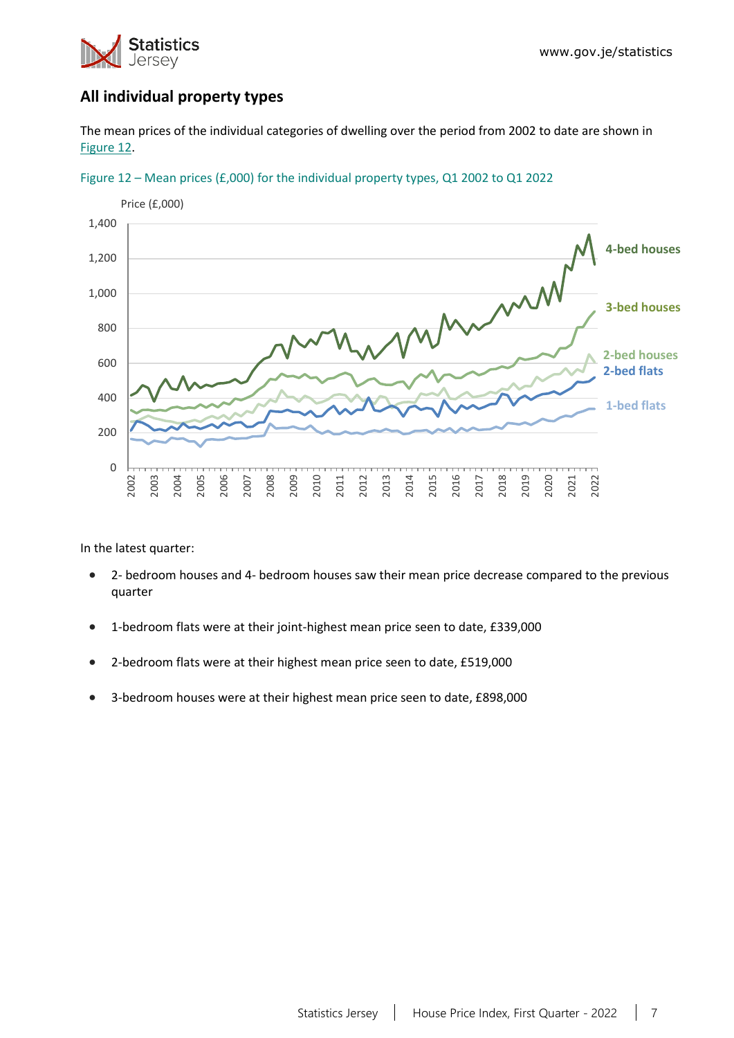

# **All individual property types**

The mean prices of the individual categories of dwelling over the period from 2002 to date are shown in [Figure 12.](#page-6-0)



<span id="page-6-0"></span>

In the latest quarter:

- 2- bedroom houses and 4- bedroom houses saw their mean price decrease compared to the previous quarter
- 1-bedroom flats were at their joint-highest mean price seen to date, £339,000
- 2-bedroom flats were at their highest mean price seen to date, £519,000
- 3-bedroom houses were at their highest mean price seen to date, £898,000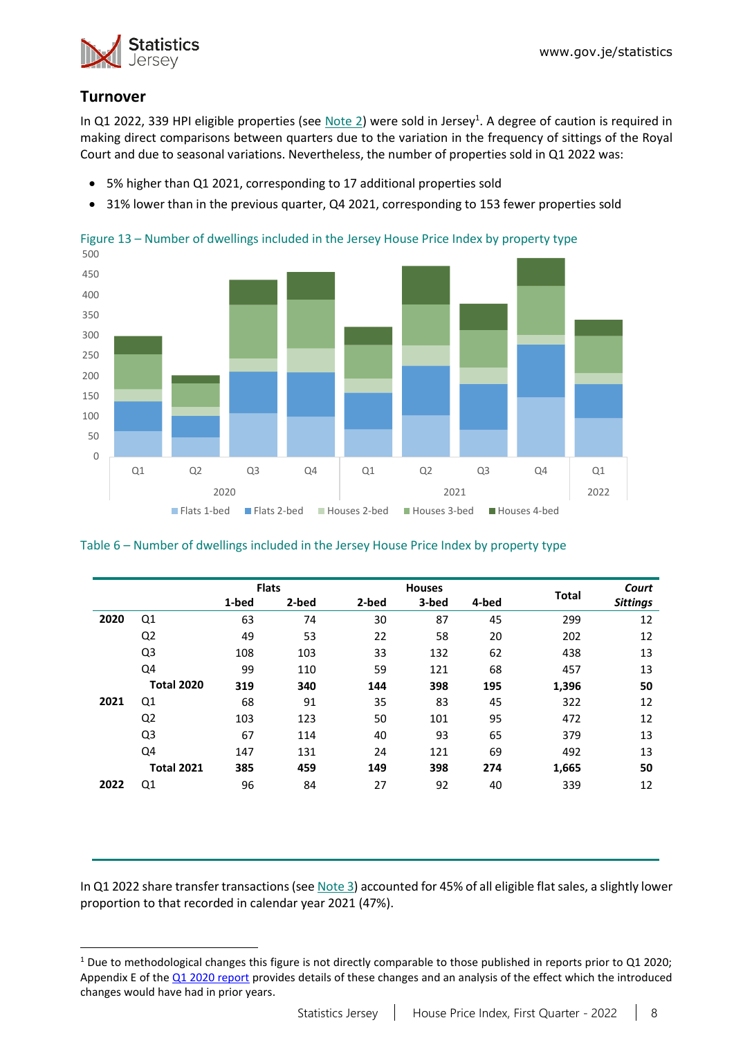

# **Turnover**

In Q1 2022, 339 HPI eligible properties (see [Note 2\)](#page-10-0) were sold in Jersey<sup>1</sup>. A degree of caution is required in making direct comparisons between quarters due to the variation in the frequency of sittings of the Royal Court and due to seasonal variations. Nevertheless, the number of properties sold in Q1 2022 was:

- 5% higher than Q1 2021, corresponding to 17 additional properties sold
- 31% lower than in the previous quarter, Q4 2021, corresponding to 153 fewer properties sold



Figure 13 – Number of dwellings included in the Jersey House Price Index by property type

### Table 6 – Number of dwellings included in the Jersey House Price Index by property type

|      |                   | <b>Flats</b> |       |       | <b>Houses</b> |       |              | Court           |
|------|-------------------|--------------|-------|-------|---------------|-------|--------------|-----------------|
|      |                   | 1-bed        | 2-bed | 2-bed | 3-bed         | 4-bed | <b>Total</b> | <b>Sittings</b> |
| 2020 | Q1                | 63           | 74    | 30    | 87            | 45    | 299          | 12              |
|      | Q <sub>2</sub>    | 49           | 53    | 22    | 58            | 20    | 202          | 12              |
|      | Q <sub>3</sub>    | 108          | 103   | 33    | 132           | 62    | 438          | 13              |
|      | Q4                | 99           | 110   | 59    | 121           | 68    | 457          | 13              |
|      | <b>Total 2020</b> | 319          | 340   | 144   | 398           | 195   | 1,396        | 50              |
| 2021 | Q1                | 68           | 91    | 35    | 83            | 45    | 322          | 12              |
|      | Q <sub>2</sub>    | 103          | 123   | 50    | 101           | 95    | 472          | 12              |
|      | Q3                | 67           | 114   | 40    | 93            | 65    | 379          | 13              |
|      | Q4                | 147          | 131   | 24    | 121           | 69    | 492          | 13              |
|      | <b>Total 2021</b> | 385          | 459   | 149   | 398           | 274   | 1,665        | 50              |
| 2022 | Q1                | 96           | 84    | 27    | 92            | 40    | 339          | 12              |

In Q1 2022 share transfer transactions (se[e Note 3\)](#page-10-1) accounted for 45% of all eligible flat sales, a slightly lower proportion to that recorded in calendar year 2021 (47%).

<sup>&</sup>lt;sup>1</sup> Due to methodological changes this figure is not directly comparable to those published in reports prior to Q1 2020; Appendix E of th[e Q1 2020 report](https://www.gov.je/SiteCollectionDocuments/Government%20and%20administration/R%20House%20Price%20Index%20Q1%202020%2020200521%20SJ.pdf) provides details of these changes and an analysis of the effect which the introduced changes would have had in prior years.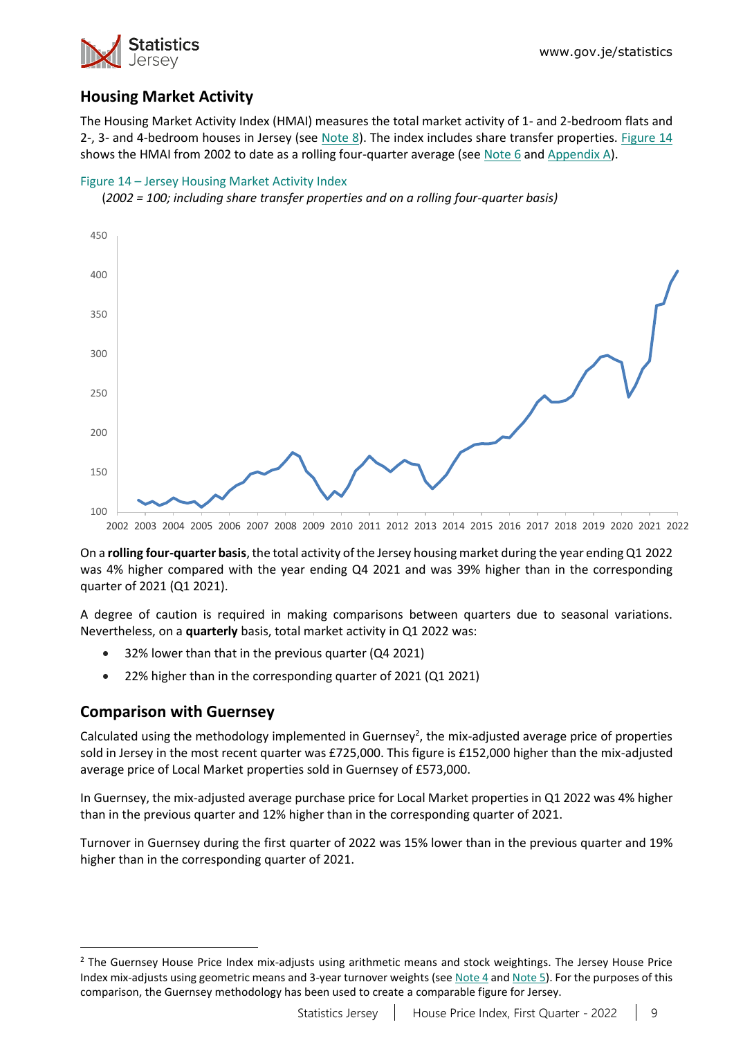

# **Housing Market Activity**

The Housing Market Activity Index (HMAI) measures the total market activity of 1- and 2-bedroom flats and 2-, 3- and 4-bedroom houses in Jersey (see [Note 8\)](#page-11-2). The index includes share transfer properties. [Figure 14](#page-8-0) shows the HMAI from 2002 to date as a rolling four-quarter average (se[e Note 6](#page-11-0) and [Appendix A\)](#page-12-0).

### <span id="page-8-0"></span>Figure 14 – Jersey Housing Market Activity Index





On a **rolling four-quarter basis**, the total activity of the Jersey housing market during the year ending Q1 2022 was 4% higher compared with the year ending Q4 2021 and was 39% higher than in the corresponding quarter of 2021 (Q1 2021).

A degree of caution is required in making comparisons between quarters due to seasonal variations. Nevertheless, on a **quarterly** basis, total market activity in Q1 2022 was:

- 32% lower than that in the previous quarter (Q4 2021)
- 22% higher than in the corresponding quarter of 2021 (Q1 2021)

### **Comparison with Guernsey**

Calculated using the methodology implemented in Guernsey<sup>2</sup>, the mix-adjusted average price of properties sold in Jersey in the most recent quarter was £725,000. This figure is £152,000 higher than the mix-adjusted average price of Local Market properties sold in Guernsey of £573,000.

In Guernsey, the mix-adjusted average purchase price for Local Market properties in Q1 2022 was 4% higher than in the previous quarter and 12% higher than in the corresponding quarter of 2021.

Turnover in Guernsey during the first quarter of 2022 was 15% lower than in the previous quarter and 19% higher than in the corresponding quarter of 2021.

<sup>&</sup>lt;sup>2</sup> The Guernsey House Price Index mix-adjusts using arithmetic means and stock weightings. The Jersey House Price Index mix-adjusts using geometric means and 3-year turnover weights (se[e Note 4](#page-10-2) an[d Note 5\)](#page-10-3). For the purposes of this comparison, the Guernsey methodology has been used to create a comparable figure for Jersey.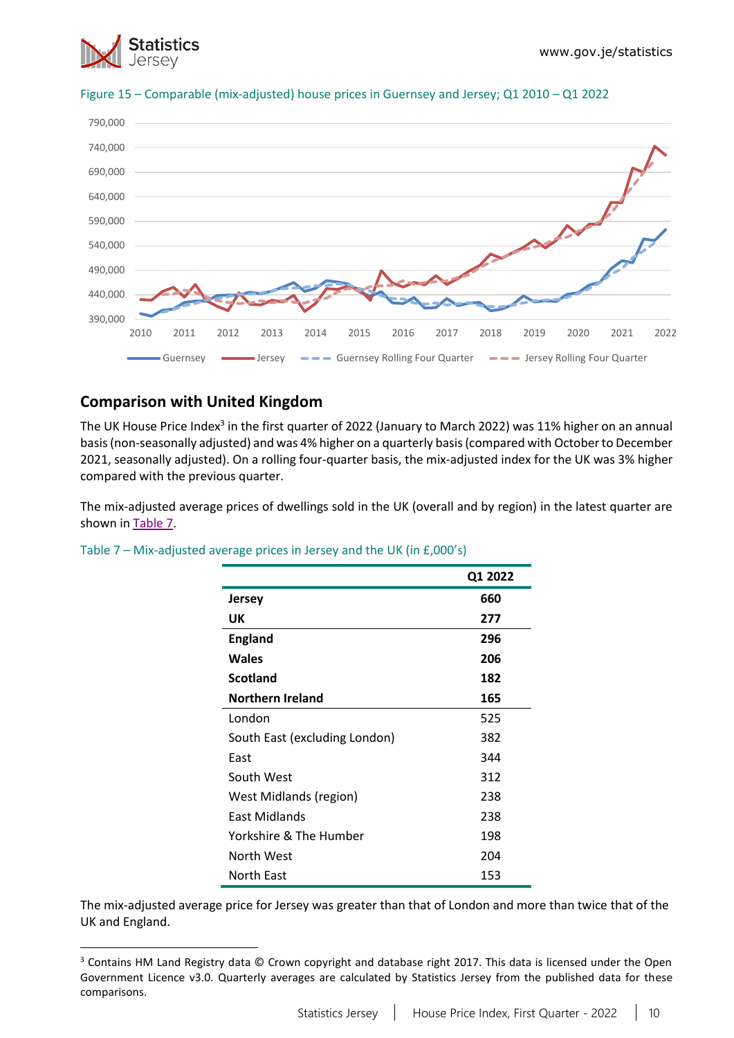



#### Figure 15 – Comparable (mix-adjusted) house prices in Guernsey and Jersey; Q1 2010 – Q1 2022

# **Comparison with United Kingdom**

The UK House Price Index<sup>3</sup> in the first quarter of 2022 (January to March 2022) was 11% higher on an annual basis (non-seasonally adjusted) and was 4% higher on a quarterly basis (compared with Octoberto December 2021, seasonally adjusted). On a rolling four-quarter basis, the mix-adjusted index for the UK was 3% higher compared with the previous quarter.

The mix-adjusted average prices of dwellings sold in the UK (overall and by region) in the latest quarter are shown in [Table 7.](#page-9-0)

|                               | Q1 2022 |
|-------------------------------|---------|
| Jersey                        | 660     |
| UK                            | 277     |
| <b>England</b>                | 296     |
| <b>Wales</b>                  | 206     |
| <b>Scotland</b>               | 182     |
| <b>Northern Ireland</b>       | 165     |
| London                        | 525     |
| South East (excluding London) | 382     |
| East                          | 344     |
| South West                    | 312     |
| West Midlands (region)        | 238     |
| <b>East Midlands</b>          | 238     |
| Yorkshire & The Humber        | 198     |
| North West                    | 204     |
| North East                    | 153     |

<span id="page-9-0"></span>Table 7 – Mix-adjusted average prices in Jersey and the UK (in £,000's)

The mix-adjusted average price for Jersey was greater than that of London and more than twice that of the UK and England.

<sup>&</sup>lt;sup>3</sup> Contains HM Land Registry data © Crown copyright and database right 2017. This data is licensed under the Open Government Licence v3.0. Quarterly averages are calculated by Statistics Jersey from the published data for these comparisons.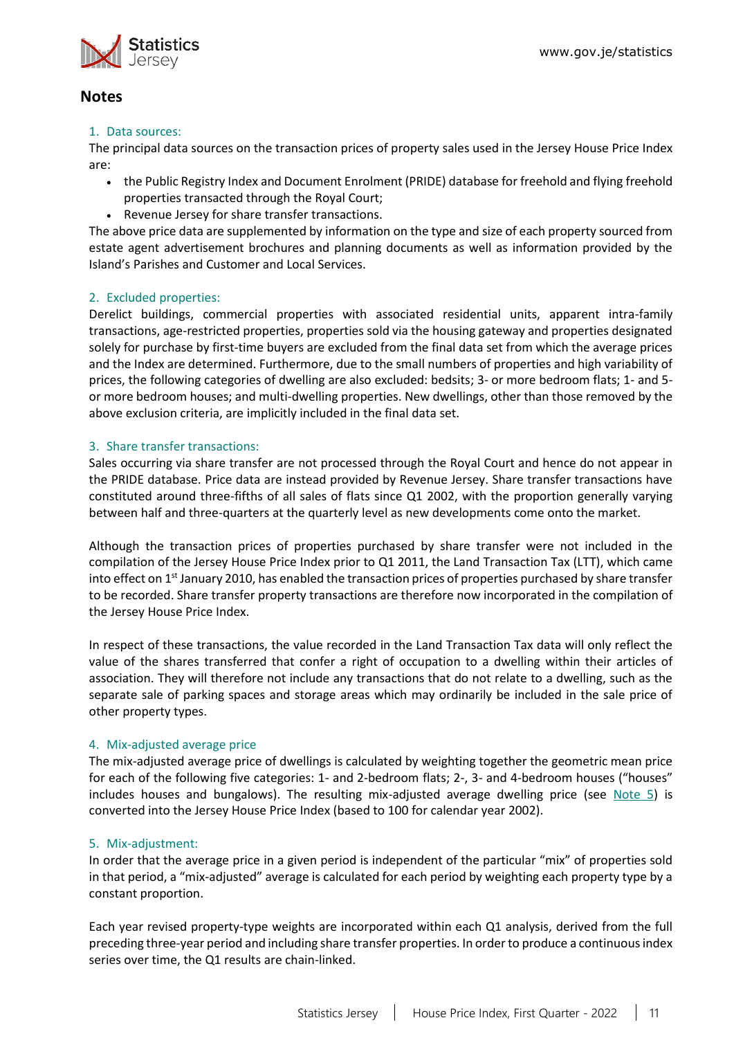

### **Notes**

#### 1. Data sources:

The principal data sources on the transaction prices of property sales used in the Jersey House Price Index are:

- the Public Registry Index and Document Enrolment (PRIDE) database for freehold and flying freehold properties transacted through the Royal Court;
- Revenue Jersey for share transfer transactions.

The above price data are supplemented by information on the type and size of each property sourced from estate agent advertisement brochures and planning documents as well as information provided by the Island's Parishes and Customer and Local Services.

### <span id="page-10-0"></span>2. Excluded properties:

Derelict buildings, commercial properties with associated residential units, apparent intra-family transactions, age-restricted properties, properties sold via the housing gateway and properties designated solely for purchase by first-time buyers are excluded from the final data set from which the average prices and the Index are determined. Furthermore, due to the small numbers of properties and high variability of prices, the following categories of dwelling are also excluded: bedsits; 3- or more bedroom flats; 1- and 5 or more bedroom houses; and multi-dwelling properties. New dwellings, other than those removed by the above exclusion criteria, are implicitly included in the final data set.

### <span id="page-10-1"></span>3. Share transfer transactions:

Sales occurring via share transfer are not processed through the Royal Court and hence do not appear in the PRIDE database. Price data are instead provided by Revenue Jersey. Share transfer transactions have constituted around three-fifths of all sales of flats since Q1 2002, with the proportion generally varying between half and three-quarters at the quarterly level as new developments come onto the market.

Although the transaction prices of properties purchased by share transfer were not included in the compilation of the Jersey House Price Index prior to Q1 2011, the Land Transaction Tax (LTT), which came into effect on  $1<sup>st</sup>$  January 2010, has enabled the transaction prices of properties purchased by share transfer to be recorded. Share transfer property transactions are therefore now incorporated in the compilation of the Jersey House Price Index.

In respect of these transactions, the value recorded in the Land Transaction Tax data will only reflect the value of the shares transferred that confer a right of occupation to a dwelling within their articles of association. They will therefore not include any transactions that do not relate to a dwelling, such as the separate sale of parking spaces and storage areas which may ordinarily be included in the sale price of other property types.

#### <span id="page-10-2"></span>4. Mix-adjusted average price

The mix-adjusted average price of dwellings is calculated by weighting together the geometric mean price for each of the following five categories: 1- and 2-bedroom flats; 2-, 3- and 4-bedroom houses ("houses" includes houses and bungalows). The resulting mix-adjusted average dwelling price (see [Note 5\)](#page-10-3) is converted into the Jersey House Price Index (based to 100 for calendar year 2002).

#### <span id="page-10-3"></span>5. Mix-adjustment:

In order that the average price in a given period is independent of the particular "mix" of properties sold in that period, a "mix-adjusted" average is calculated for each period by weighting each property type by a constant proportion.

Each year revised property-type weights are incorporated within each Q1 analysis, derived from the full preceding three-year period and including share transfer properties. In order to produce a continuous index series over time, the Q1 results are chain-linked.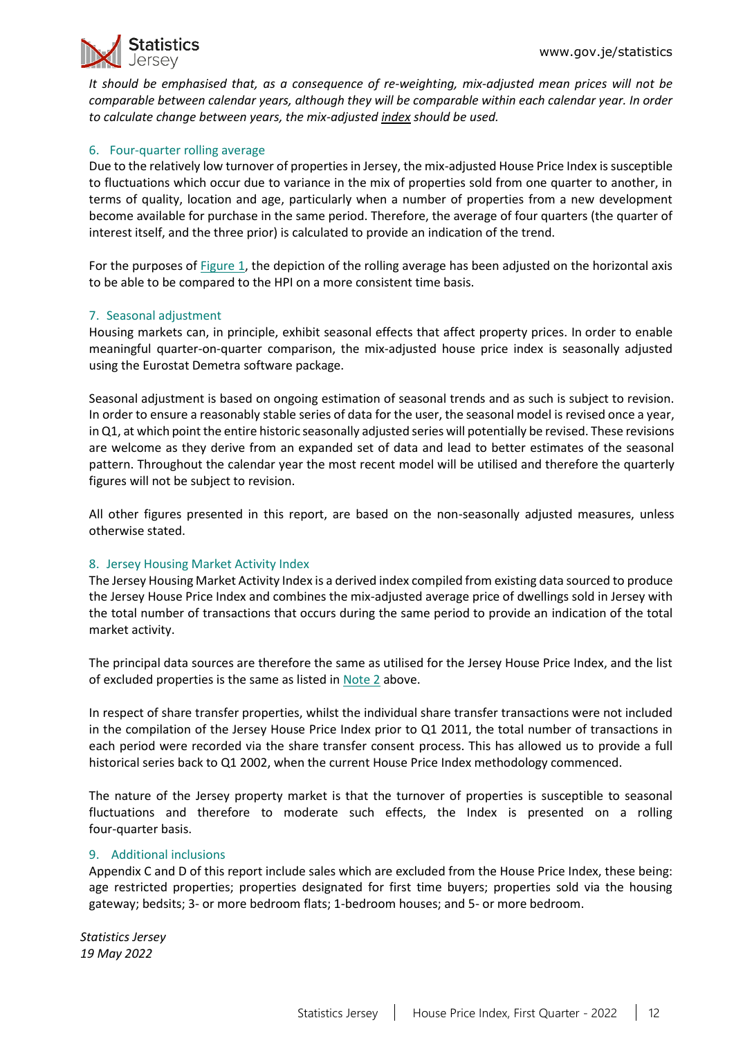

*It should be emphasised that, as a consequence of re-weighting, mix-adjusted mean prices will not be comparable between calendar years, although they will be comparable within each calendar year. In order to calculate change between years, the mix-adjusted index should be used.*

#### <span id="page-11-0"></span>6. Four-quarter rolling average

Due to the relatively low turnover of properties in Jersey, the mix-adjusted House Price Index is susceptible to fluctuations which occur due to variance in the mix of properties sold from one quarter to another, in terms of quality, location and age, particularly when a number of properties from a new development become available for purchase in the same period. Therefore, the average of four quarters (the quarter of interest itself, and the three prior) is calculated to provide an indication of the trend.

For the purposes o[f Figure 1,](#page-0-1) the depiction of the rolling average has been adjusted on the horizontal axis to be able to be compared to the HPI on a more consistent time basis.

### <span id="page-11-1"></span>7. Seasonal adjustment

Housing markets can, in principle, exhibit seasonal effects that affect property prices. In order to enable meaningful quarter-on-quarter comparison, the mix-adjusted house price index is seasonally adjusted using the Eurostat Demetra software package.

Seasonal adjustment is based on ongoing estimation of seasonal trends and as such is subject to revision. In order to ensure a reasonably stable series of data for the user, the seasonal model is revised once a year, in Q1, at which point the entire historic seasonally adjusted series will potentially be revised. These revisions are welcome as they derive from an expanded set of data and lead to better estimates of the seasonal pattern. Throughout the calendar year the most recent model will be utilised and therefore the quarterly figures will not be subject to revision.

All other figures presented in this report, are based on the non-seasonally adjusted measures, unless otherwise stated.

#### <span id="page-11-2"></span>8. Jersey Housing Market Activity Index

The Jersey Housing Market Activity Index is a derived index compiled from existing data sourced to produce the Jersey House Price Index and combines the mix-adjusted average price of dwellings sold in Jersey with the total number of transactions that occurs during the same period to provide an indication of the total market activity.

The principal data sources are therefore the same as utilised for the Jersey House Price Index, and the list of excluded properties is the same as listed in [Note 2](#page-10-0) above.

In respect of share transfer properties, whilst the individual share transfer transactions were not included in the compilation of the Jersey House Price Index prior to Q1 2011, the total number of transactions in each period were recorded via the share transfer consent process. This has allowed us to provide a full historical series back to Q1 2002, when the current House Price Index methodology commenced.

The nature of the Jersey property market is that the turnover of properties is susceptible to seasonal fluctuations and therefore to moderate such effects, the Index is presented on a rolling four-quarter basis.

#### <span id="page-11-3"></span>9. Additional inclusions

Appendix C and D of this report include sales which are excluded from the House Price Index, these being: age restricted properties; properties designated for first time buyers; properties sold via the housing gateway; bedsits; 3- or more bedroom flats; 1-bedroom houses; and 5- or more bedroom.

*Statistics Jersey 19 May 2022*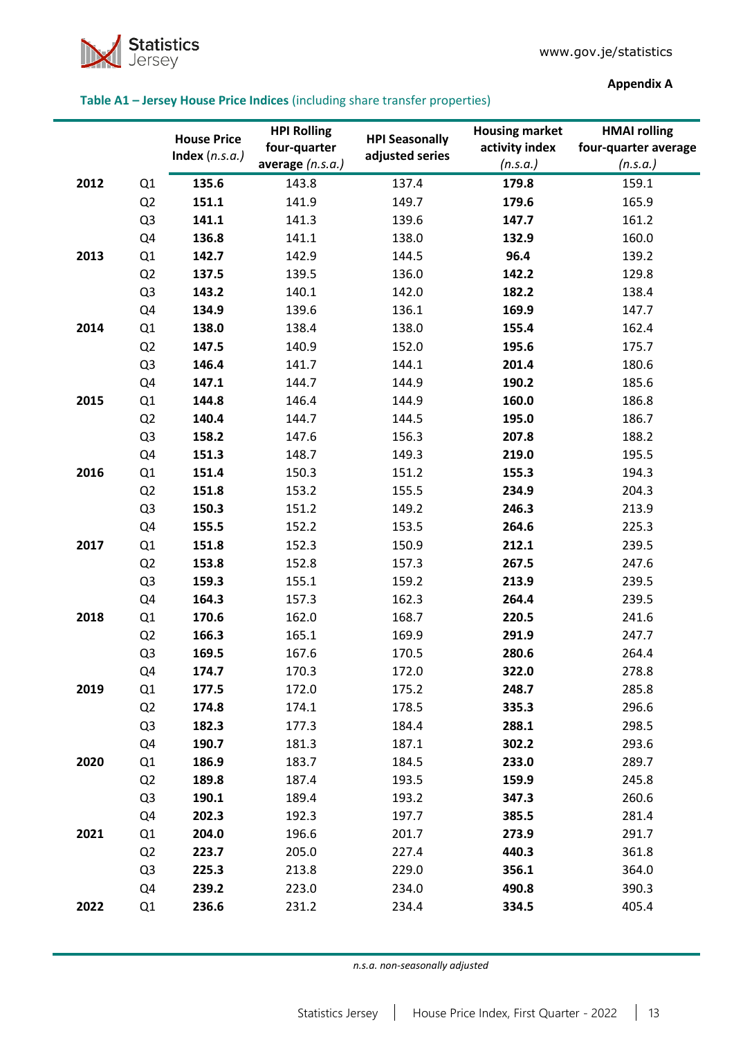

### <span id="page-12-0"></span>**Table A1 – Jersey House Price Indices** (including share transfer properties)

**Appendix A**

|      |                | <b>House Price</b><br>Index $(n.s.a.)$ | <b>HPI Rolling</b><br>four-quarter<br>average $(n.s.a.)$ | <b>HPI Seasonally</b><br>adjusted series | <b>Housing market</b><br>activity index<br>(n.s.a.) | <b>HMAI</b> rolling<br>four-quarter average<br>(n.s.a.) |
|------|----------------|----------------------------------------|----------------------------------------------------------|------------------------------------------|-----------------------------------------------------|---------------------------------------------------------|
| 2012 |                | 135.6                                  | 143.8                                                    | 137.4                                    | 179.8                                               | 159.1                                                   |
|      | Q1             |                                        |                                                          | 149.7                                    |                                                     |                                                         |
|      | Q2             | 151.1                                  | 141.9                                                    |                                          | 179.6                                               | 165.9                                                   |
|      | Q3             | 141.1                                  | 141.3                                                    | 139.6                                    | 147.7                                               | 161.2                                                   |
|      | Q4             | 136.8                                  | 141.1                                                    | 138.0                                    | 132.9                                               | 160.0                                                   |
| 2013 | Q1             | 142.7                                  | 142.9                                                    | 144.5                                    | 96.4                                                | 139.2                                                   |
|      | Q2             | 137.5                                  | 139.5                                                    | 136.0                                    | 142.2                                               | 129.8                                                   |
|      | Q <sub>3</sub> | 143.2                                  | 140.1                                                    | 142.0                                    | 182.2                                               | 138.4                                                   |
|      | Q4             | 134.9                                  | 139.6                                                    | 136.1                                    | 169.9                                               | 147.7                                                   |
| 2014 | Q1             | 138.0                                  | 138.4                                                    | 138.0                                    | 155.4                                               | 162.4                                                   |
|      | Q2             | 147.5                                  | 140.9                                                    | 152.0                                    | 195.6                                               | 175.7                                                   |
|      | Q <sub>3</sub> | 146.4                                  | 141.7                                                    | 144.1                                    | 201.4                                               | 180.6                                                   |
|      | Q4             | 147.1                                  | 144.7                                                    | 144.9                                    | 190.2                                               | 185.6                                                   |
| 2015 | Q1             | 144.8                                  | 146.4                                                    | 144.9                                    | 160.0                                               | 186.8                                                   |
|      | Q2             | 140.4                                  | 144.7                                                    | 144.5                                    | 195.0                                               | 186.7                                                   |
|      | Q3             | 158.2                                  | 147.6                                                    | 156.3                                    | 207.8                                               | 188.2                                                   |
|      | Q4             | 151.3                                  | 148.7                                                    | 149.3                                    | 219.0                                               | 195.5                                                   |
| 2016 | Q1             | 151.4                                  | 150.3                                                    | 151.2                                    | 155.3                                               | 194.3                                                   |
|      | Q2             | 151.8                                  | 153.2                                                    | 155.5                                    | 234.9                                               | 204.3                                                   |
|      | Q3             | 150.3                                  | 151.2                                                    | 149.2                                    | 246.3                                               | 213.9                                                   |
|      | Q4             | 155.5                                  | 152.2                                                    | 153.5                                    | 264.6                                               | 225.3                                                   |
| 2017 | Q1             | 151.8                                  | 152.3                                                    | 150.9                                    | 212.1                                               | 239.5                                                   |
|      | Q2             | 153.8                                  | 152.8                                                    | 157.3                                    | 267.5                                               | 247.6                                                   |
|      | Q <sub>3</sub> | 159.3                                  | 155.1                                                    | 159.2                                    | 213.9                                               | 239.5                                                   |
|      | Q4             | 164.3                                  | 157.3                                                    | 162.3                                    | 264.4                                               | 239.5                                                   |
| 2018 | Q1             | 170.6                                  | 162.0                                                    | 168.7                                    | 220.5                                               | 241.6                                                   |
|      | Q2             | 166.3                                  | 165.1                                                    | 169.9                                    | 291.9                                               | 247.7                                                   |
|      | Q <sub>3</sub> | 169.5                                  | 167.6                                                    | 170.5                                    | 280.6                                               | 264.4                                                   |
|      | Q4             | 174.7                                  | 170.3                                                    | 172.0                                    | 322.0                                               | 278.8                                                   |
| 2019 | Q1             | 177.5                                  | 172.0                                                    | 175.2                                    | 248.7                                               | 285.8                                                   |
|      | Q2             | 174.8                                  | 174.1                                                    | 178.5                                    | 335.3                                               | 296.6                                                   |
|      | Q <sub>3</sub> | 182.3                                  | 177.3                                                    | 184.4                                    | 288.1                                               | 298.5                                                   |
|      | Q4             | 190.7                                  | 181.3                                                    | 187.1                                    | 302.2                                               | 293.6                                                   |
| 2020 | Q1             | 186.9                                  | 183.7                                                    | 184.5                                    | 233.0                                               | 289.7                                                   |
|      | Q2             | 189.8                                  | 187.4                                                    | 193.5                                    | 159.9                                               | 245.8                                                   |
|      | Q <sub>3</sub> | 190.1                                  | 189.4                                                    | 193.2                                    | 347.3                                               | 260.6                                                   |
|      | Q4             | 202.3                                  | 192.3                                                    | 197.7                                    | 385.5                                               | 281.4                                                   |
| 2021 | Q1             | 204.0                                  | 196.6                                                    | 201.7                                    | 273.9                                               | 291.7                                                   |
|      | Q2             | 223.7                                  | 205.0                                                    | 227.4                                    | 440.3                                               | 361.8                                                   |
|      | Q <sub>3</sub> | 225.3                                  | 213.8                                                    | 229.0                                    | 356.1                                               | 364.0                                                   |
|      | Q4             | 239.2                                  | 223.0                                                    | 234.0                                    | 490.8                                               | 390.3                                                   |
| 2022 | Q1             | 236.6                                  | 231.2                                                    | 234.4                                    | 334.5                                               | 405.4                                                   |

*n.s.a. non-seasonally adjusted*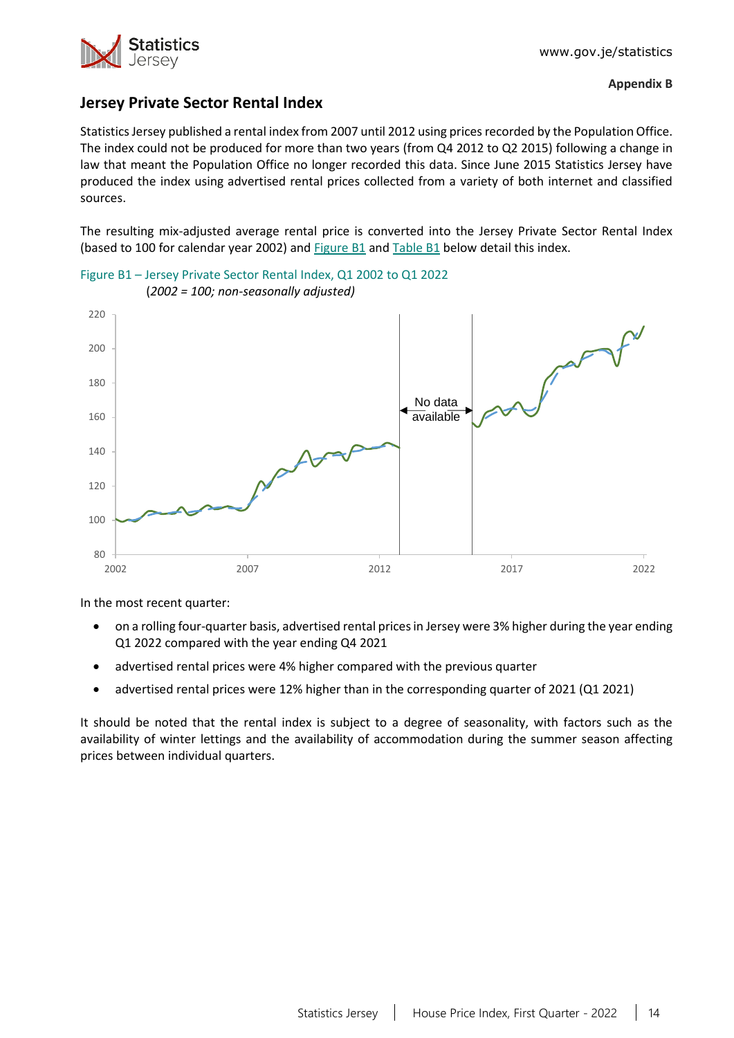

# **Jersey Private Sector Rental Index**

Statistics Jersey published a rental index from 2007 until 2012 using prices recorded by the Population Office. The index could not be produced for more than two years (from Q4 2012 to Q2 2015) following a change in law that meant the Population Office no longer recorded this data. Since June 2015 Statistics Jersey have produced the index using advertised rental prices collected from a variety of both internet and classified sources.

The resulting mix-adjusted average rental price is converted into the Jersey Private Sector Rental Index (based to 100 for calendar year 2002) and [Figure B1](#page-13-0) an[d Table B1](#page-14-0) below detail this index.



<span id="page-13-0"></span>Figure B1 – Jersey Private Sector Rental Index, Q1 2002 to Q1 2022 (*2002 = 100; non-seasonally adjusted)*

In the most recent quarter:

- on a rolling four-quarter basis, advertised rental prices in Jersey were 3% higher during the year ending Q1 2022 compared with the year ending Q4 2021
- advertised rental prices were 4% higher compared with the previous quarter
- advertised rental prices were 12% higher than in the corresponding quarter of 2021 (Q1 2021)

It should be noted that the rental index is subject to a degree of seasonality, with factors such as the availability of winter lettings and the availability of accommodation during the summer season affecting prices between individual quarters.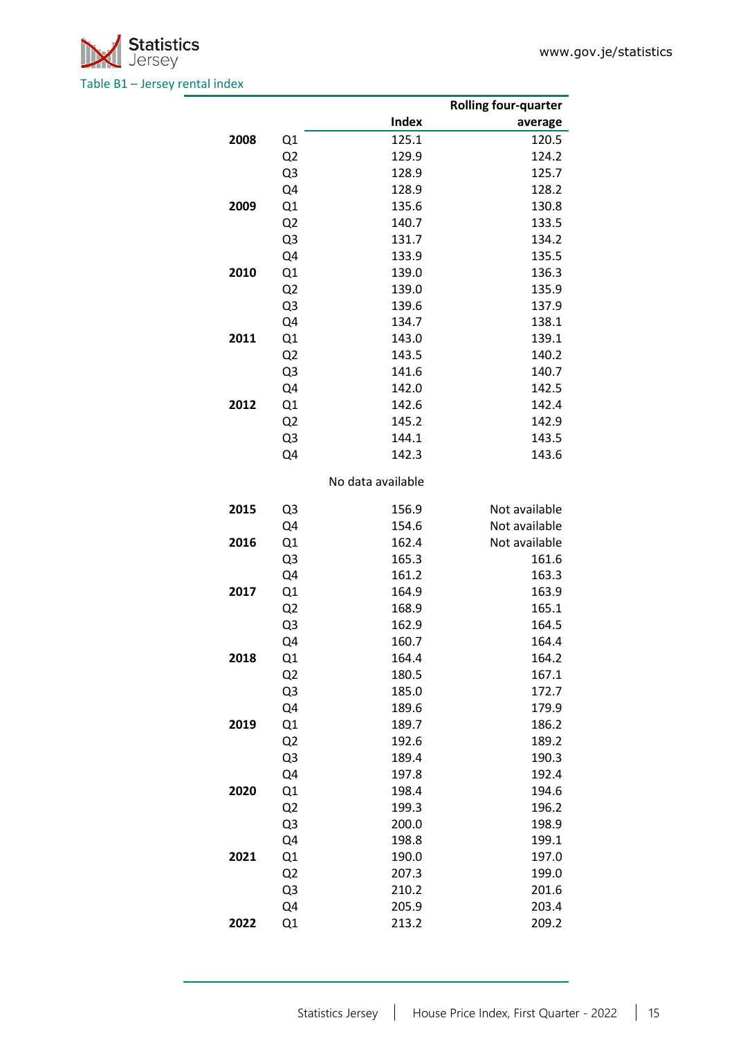<span id="page-14-0"></span>

|      |                |                   | <b>Rolling four-quarter</b> |
|------|----------------|-------------------|-----------------------------|
|      |                | Index             | average                     |
| 2008 | Q1             | 125.1             | 120.5                       |
|      | Q <sub>2</sub> | 129.9             | 124.2                       |
|      | Q3             | 128.9             | 125.7                       |
|      | Q4             | 128.9             | 128.2                       |
| 2009 | Q1             | 135.6             | 130.8                       |
|      | Q <sub>2</sub> | 140.7             | 133.5                       |
|      | Q3             | 131.7             | 134.2                       |
|      | Q4             | 133.9             | 135.5                       |
| 2010 | Q1             | 139.0             | 136.3                       |
|      | Q <sub>2</sub> | 139.0             | 135.9                       |
|      | Q3             | 139.6             | 137.9                       |
|      | Q4             | 134.7             | 138.1                       |
| 2011 | Q1             | 143.0             | 139.1                       |
|      | Q <sub>2</sub> | 143.5             | 140.2                       |
|      | Q3             | 141.6             | 140.7                       |
|      | Q4             | 142.0             | 142.5                       |
| 2012 | Q1             | 142.6             | 142.4                       |
|      | Q <sub>2</sub> | 145.2             | 142.9                       |
|      | Q3             | 144.1             | 143.5                       |
|      | Q4             | 142.3             | 143.6                       |
|      |                | No data available |                             |
|      |                |                   |                             |
| 2015 | Q3             | 156.9             | Not available               |
|      | Q4             | 154.6             | Not available               |
| 2016 | Q1             | 162.4             | Not available               |
|      | Q3             | 165.3             | 161.6                       |
|      | Q4             | 161.2             | 163.3                       |
| 2017 | Q1             | 164.9             | 163.9                       |
|      | Q <sub>2</sub> | 168.9             | 165.1                       |
|      | Q3             | 162.9             | 164.5                       |
|      | Q4             | 160.7             | 164.4                       |
| 2018 | Q1             | 164.4             | 164.2                       |
|      | Q <sub>2</sub> | 180.5             | 167.1                       |
|      | Q3             | 185.0             | 172.7                       |
|      | Q4             | 189.6             | 179.9                       |
| 2019 | Q1             | 189.7             | 186.2                       |
|      | Q <sub>2</sub> | 192.6             | 189.2                       |
|      | Q3             | 189.4             | 190.3                       |
|      | Q4             | 197.8             | 192.4                       |
| 2020 | Q1             | 198.4             | 194.6                       |
|      | Q <sub>2</sub> | 199.3             | 196.2                       |
|      | Q3             | 200.0             | 198.9                       |
|      | Q4             | 198.8             | 199.1                       |
| 2021 | Q1             | 190.0             | 197.0                       |
|      | Q <sub>2</sub> | 207.3             | 199.0                       |
|      | Q3             | 210.2             | 201.6                       |
|      | Q4             | 205.9             | 203.4                       |
| 2022 | Q1             | 213.2             | 209.2                       |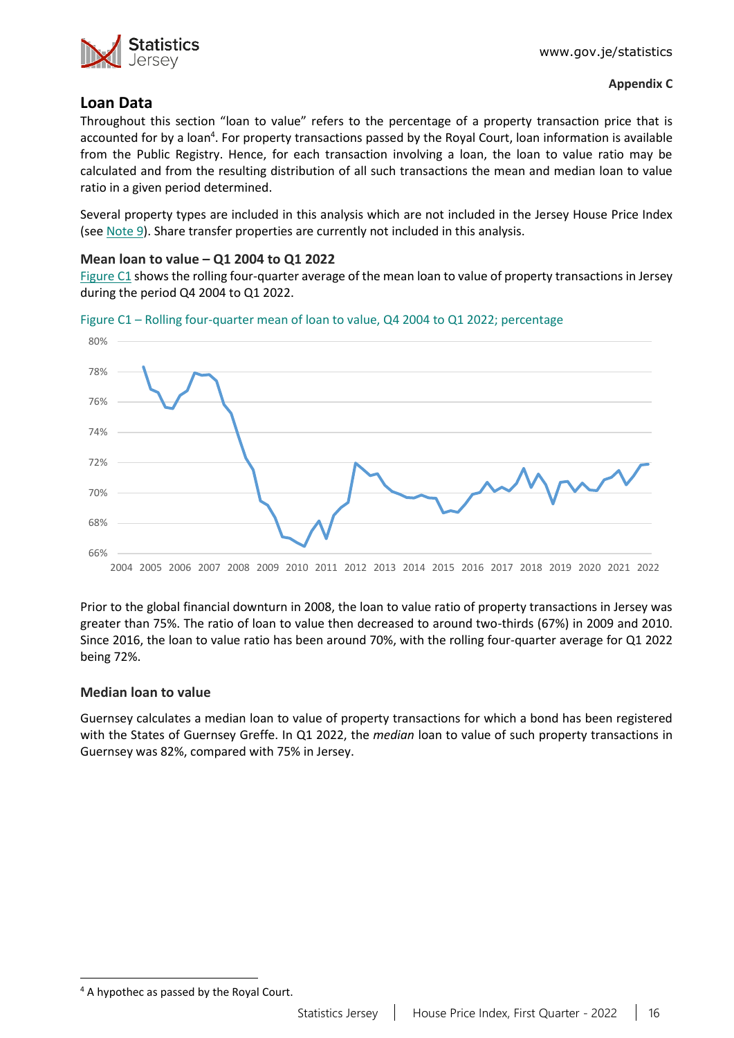

## **Loan Data**

Throughout this section "loan to value" refers to the percentage of a property transaction price that is accounted for by a loan<sup>4</sup>. For property transactions passed by the Royal Court, loan information is available from the Public Registry. Hence, for each transaction involving a loan, the loan to value ratio may be calculated and from the resulting distribution of all such transactions the mean and median loan to value ratio in a given period determined.

Several property types are included in this analysis which are not included in the Jersey House Price Index (see [Note](#page-11-3) 9). Share transfer properties are currently not included in this analysis.

### **Mean loan to value – Q1 2004 to Q1 2022**

[Figure C1](#page-15-0) shows the rolling four-quarter average of the mean loan to value of property transactions in Jersey during the period Q4 2004 to Q1 2022.



<span id="page-15-0"></span>Figure C1 – Rolling four-quarter mean of loan to value, Q4 2004 to Q1 2022; percentage

Prior to the global financial downturn in 2008, the loan to value ratio of property transactions in Jersey was greater than 75%. The ratio of loan to value then decreased to around two-thirds (67%) in 2009 and 2010. Since 2016, the loan to value ratio has been around 70%, with the rolling four-quarter average for Q1 2022 being 72%.

### **Median loan to value**

Guernsey calculates a median loan to value of property transactions for which a bond has been registered with the States of Guernsey Greffe. In Q1 2022, the *median* loan to value of such property transactions in Guernsey was 82%, compared with 75% in Jersey.

<sup>&</sup>lt;sup>4</sup> A hypothec as passed by the Royal Court.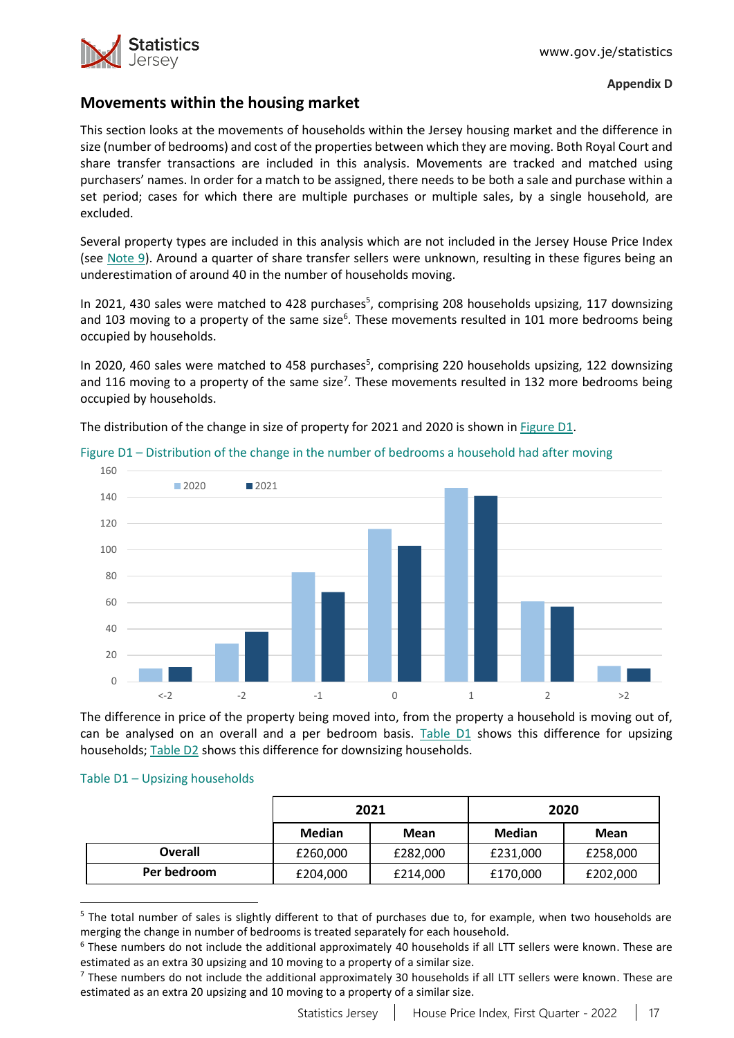

### **Movements within the housing market**

This section looks at the movements of households within the Jersey housing market and the difference in size (number of bedrooms) and cost of the properties between which they are moving. Both Royal Court and share transfer transactions are included in this analysis. Movements are tracked and matched using purchasers' names. In order for a match to be assigned, there needs to be both a sale and purchase within a set period; cases for which there are multiple purchases or multiple sales, by a single household, are excluded.

Several property types are included in this analysis which are not included in the Jersey House Price Index (see [Note 9\)](#page-11-3). Around a quarter of share transfer sellers were unknown, resulting in these figures being an underestimation of around 40 in the number of households moving.

In 2021, 430 sales were matched to 428 purchases<sup>5</sup>, comprising 208 households upsizing, 117 downsizing and 103 moving to a property of the same size<sup>6</sup>. These movements resulted in 101 more bedrooms being occupied by households.

In 2020, 460 sales were matched to 458 purchases<sup>5</sup>, comprising 220 households upsizing, 122 downsizing and 116 moving to a property of the same size<sup>7</sup>. These movements resulted in 132 more bedrooms being occupied by households.

The distribution of the change in size of property for 2021 and 2020 is shown in [Figure D1.](#page-16-0)



<span id="page-16-0"></span>Figure D1 – Distribution of the change in the number of bedrooms a household had after moving

The difference in price of the property being moved into, from the property a household is moving out of, can be analysed on an overall and a per bedroom basis. [Table D1](#page-16-1) shows this difference for upsizing households; [Table D2](#page-17-0) shows this difference for downsizing households.

#### <span id="page-16-1"></span>Table D1 – Upsizing households

|             |          | 2021     |               | 2020     |
|-------------|----------|----------|---------------|----------|
|             | Median   | Mean     | <b>Median</b> | Mean     |
| Overall     | £260,000 | £282,000 | £231,000      | £258,000 |
| Per bedroom | £204,000 | £214,000 | £170,000      | £202,000 |

<sup>&</sup>lt;sup>5</sup> The total number of sales is slightly different to that of purchases due to, for example, when two households are merging the change in number of bedrooms is treated separately for each household.

 $6$  These numbers do not include the additional approximately 40 households if all LTT sellers were known. These are estimated as an extra 30 upsizing and 10 moving to a property of a similar size.

<sup>&</sup>lt;sup>7</sup> These numbers do not include the additional approximately 30 households if all LTT sellers were known. These are estimated as an extra 20 upsizing and 10 moving to a property of a similar size.